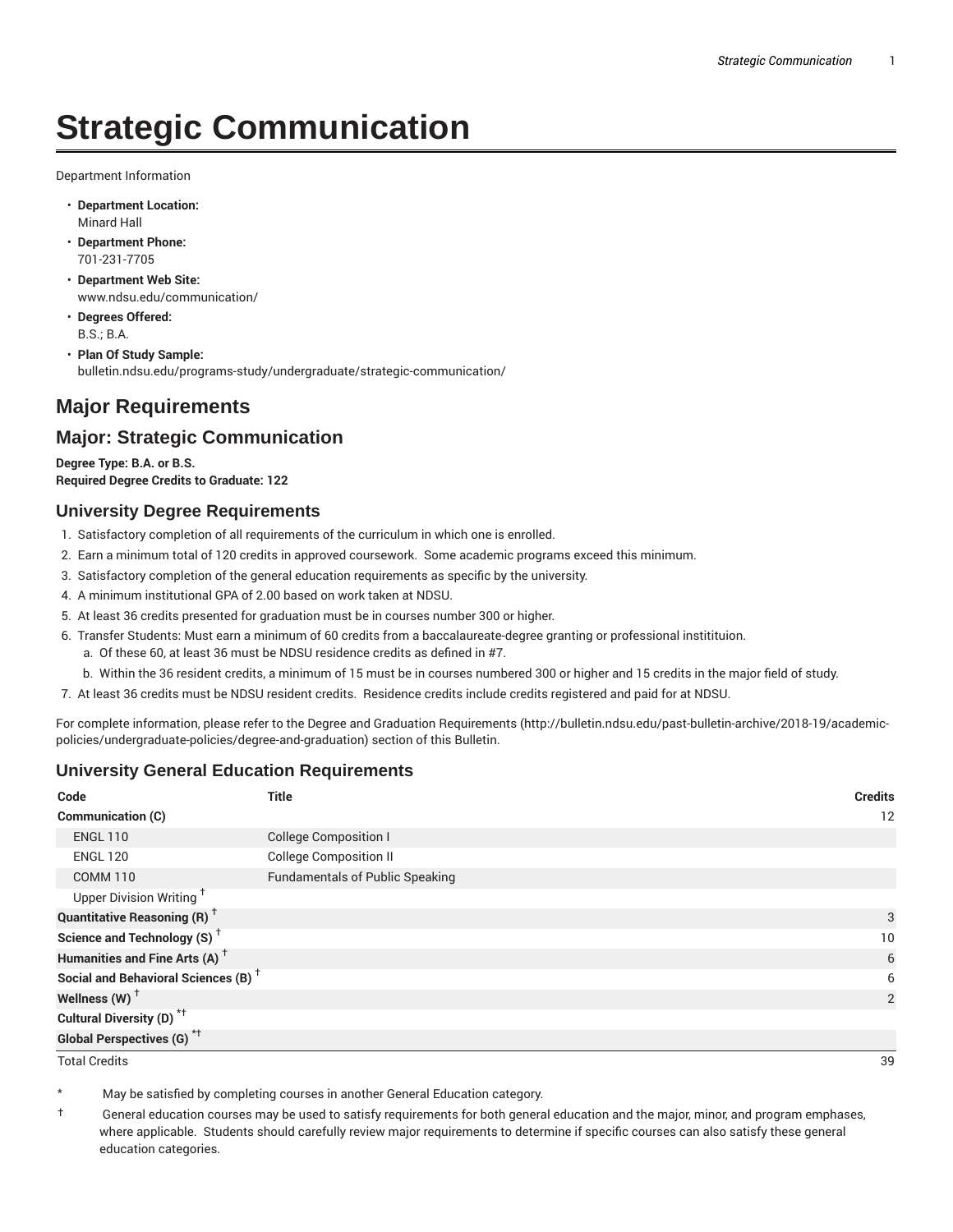# **Strategic Communication**

Department Information

- **Department Location:** Minard Hall
- **Department Phone:** 701-231-7705
- **Department Web Site:** www.ndsu.edu/communication/
- **Degrees Offered:** B.S.; B.A.
- **Plan Of Study Sample:** bulletin.ndsu.edu/programs-study/undergraduate/strategic-communication/

## **Major Requirements**

### **Major: Strategic Communication**

**Degree Type: B.A. or B.S. Required Degree Credits to Graduate: 122**

#### **University Degree Requirements**

- 1. Satisfactory completion of all requirements of the curriculum in which one is enrolled.
- 2. Earn a minimum total of 120 credits in approved coursework. Some academic programs exceed this minimum.
- 3. Satisfactory completion of the general education requirements as specific by the university.
- 4. A minimum institutional GPA of 2.00 based on work taken at NDSU.
- 5. At least 36 credits presented for graduation must be in courses number 300 or higher.
- 6. Transfer Students: Must earn a minimum of 60 credits from a baccalaureate-degree granting or professional institituion.
	- a. Of these 60, at least 36 must be NDSU residence credits as defined in #7.
	- b. Within the 36 resident credits, a minimum of 15 must be in courses numbered 300 or higher and 15 credits in the major field of study.
- 7. At least 36 credits must be NDSU resident credits. Residence credits include credits registered and paid for at NDSU.

For complete information, please refer to the Degree and Graduation Requirements (http://bulletin.ndsu.edu/past-bulletin-archive/2018-19/academicpolicies/undergraduate-policies/degree-and-graduation) section of this Bulletin.

#### **University General Education Requirements**

| Code                                            | <b>Title</b>                           | <b>Credits</b> |
|-------------------------------------------------|----------------------------------------|----------------|
| Communication (C)                               |                                        | 12             |
| <b>ENGL 110</b>                                 | <b>College Composition I</b>           |                |
| <b>ENGL 120</b>                                 | <b>College Composition II</b>          |                |
| <b>COMM 110</b>                                 | <b>Fundamentals of Public Speaking</b> |                |
| Upper Division Writing <sup>+</sup>             |                                        |                |
| <b>Quantitative Reasoning (R)</b> <sup>†</sup>  |                                        | 3              |
| Science and Technology (S) <sup>+</sup>         |                                        | 10             |
| Humanities and Fine Arts (A) <sup>+</sup>       |                                        | 6              |
| Social and Behavioral Sciences (B) <sup>+</sup> |                                        | 6              |
| Wellness $(W)$ <sup>+</sup>                     |                                        | 2              |
| Cultural Diversity (D) <sup>*†</sup>            |                                        |                |
| <b>Global Perspectives (G)<sup>*†</sup></b>     |                                        |                |

Total Credits 39

May be satisfied by completing courses in another General Education category.

† General education courses may be used to satisfy requirements for both general education and the major, minor, and program emphases, where applicable. Students should carefully review major requirements to determine if specific courses can also satisfy these general education categories.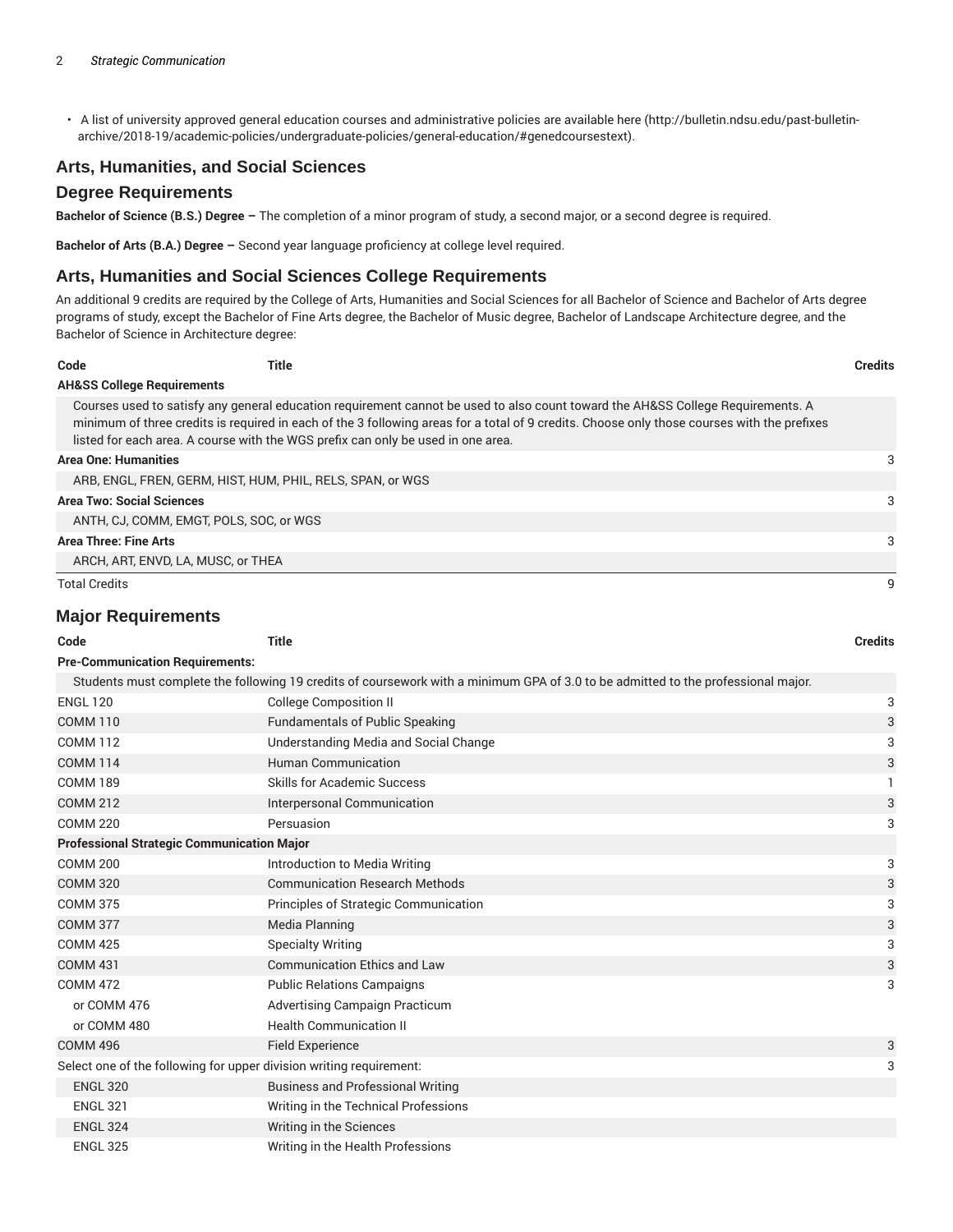• A list of university approved general education courses and administrative policies are available here (http://bulletin.ndsu.edu/past-bulletinarchive/2018-19/academic-policies/undergraduate-policies/general-education/#genedcoursestext).

#### **Arts, Humanities, and Social Sciences**

#### **Degree Requirements**

**Bachelor of Science (B.S.) Degree –** The completion of a minor program of study, a second major, or a second degree is required.

**Bachelor of Arts (B.A.) Degree –** Second year language proficiency at college level required.

#### **Arts, Humanities and Social Sciences College Requirements**

An additional 9 credits are required by the College of Arts, Humanities and Social Sciences for all Bachelor of Science and Bachelor of Arts degree programs of study, except the Bachelor of Fine Arts degree, the Bachelor of Music degree, Bachelor of Landscape Architecture degree, and the Bachelor of Science in Architecture degree:

| Code                                  | Title                                                                            |                                                                                                                                                                                                                                                                                | <b>Credits</b> |
|---------------------------------------|----------------------------------------------------------------------------------|--------------------------------------------------------------------------------------------------------------------------------------------------------------------------------------------------------------------------------------------------------------------------------|----------------|
| <b>AH&amp;SS College Requirements</b> |                                                                                  |                                                                                                                                                                                                                                                                                |                |
|                                       | listed for each area. A course with the WGS prefix can only be used in one area. | Courses used to satisfy any general education requirement cannot be used to also count toward the AH&SS College Requirements. A<br>minimum of three credits is required in each of the 3 following areas for a total of 9 credits. Choose only those courses with the prefixes |                |
| <b>Area One: Humanities</b>           |                                                                                  |                                                                                                                                                                                                                                                                                | 3              |
|                                       | ARB, ENGL, FREN, GERM, HIST, HUM, PHIL, RELS, SPAN, or WGS                       |                                                                                                                                                                                                                                                                                |                |
| <b>Area Two: Social Sciences</b>      |                                                                                  |                                                                                                                                                                                                                                                                                | 3              |
|                                       | ANTH. CJ. COMM. EMGT. POLS. SOC. or WGS                                          |                                                                                                                                                                                                                                                                                |                |
| <b>Area Three: Fine Arts</b>          |                                                                                  |                                                                                                                                                                                                                                                                                | 3              |
|                                       | ARCH, ART, ENVD, LA, MUSC, or THEA                                               |                                                                                                                                                                                                                                                                                |                |
| <b>Total Credits</b>                  |                                                                                  |                                                                                                                                                                                                                                                                                |                |

#### **Major Requirements**

| Code                                                                | <b>Title</b>                                                                                                                      | <b>Credits</b> |  |  |
|---------------------------------------------------------------------|-----------------------------------------------------------------------------------------------------------------------------------|----------------|--|--|
| <b>Pre-Communication Requirements:</b>                              |                                                                                                                                   |                |  |  |
|                                                                     | Students must complete the following 19 credits of coursework with a minimum GPA of 3.0 to be admitted to the professional major. |                |  |  |
| <b>ENGL 120</b>                                                     | <b>College Composition II</b>                                                                                                     | 3              |  |  |
| <b>COMM 110</b>                                                     | <b>Fundamentals of Public Speaking</b>                                                                                            | 3              |  |  |
| <b>COMM 112</b>                                                     | Understanding Media and Social Change                                                                                             | 3              |  |  |
| <b>COMM 114</b>                                                     | <b>Human Communication</b>                                                                                                        | 3              |  |  |
| <b>COMM 189</b>                                                     | <b>Skills for Academic Success</b>                                                                                                |                |  |  |
| <b>COMM 212</b>                                                     | Interpersonal Communication                                                                                                       | 3              |  |  |
| <b>COMM 220</b>                                                     | Persuasion                                                                                                                        | 3              |  |  |
| <b>Professional Strategic Communication Major</b>                   |                                                                                                                                   |                |  |  |
| <b>COMM 200</b>                                                     | Introduction to Media Writing                                                                                                     | 3              |  |  |
| <b>COMM 320</b>                                                     | <b>Communication Research Methods</b>                                                                                             | 3              |  |  |
| <b>COMM 375</b>                                                     | Principles of Strategic Communication                                                                                             | 3              |  |  |
| <b>COMM 377</b>                                                     | Media Planning                                                                                                                    | 3              |  |  |
| <b>COMM 425</b>                                                     | <b>Specialty Writing</b>                                                                                                          | 3              |  |  |
| <b>COMM 431</b>                                                     | <b>Communication Ethics and Law</b>                                                                                               | 3              |  |  |
| <b>COMM 472</b>                                                     | <b>Public Relations Campaigns</b>                                                                                                 | 3              |  |  |
| or COMM 476                                                         | <b>Advertising Campaign Practicum</b>                                                                                             |                |  |  |
| or COMM 480                                                         | <b>Health Communication II</b>                                                                                                    |                |  |  |
| <b>COMM 496</b>                                                     | <b>Field Experience</b>                                                                                                           | 3              |  |  |
| Select one of the following for upper division writing requirement: |                                                                                                                                   | 3              |  |  |
| <b>ENGL 320</b>                                                     | <b>Business and Professional Writing</b>                                                                                          |                |  |  |
| <b>ENGL 321</b>                                                     | Writing in the Technical Professions                                                                                              |                |  |  |
| <b>ENGL 324</b>                                                     | Writing in the Sciences                                                                                                           |                |  |  |
| <b>ENGL 325</b>                                                     | Writing in the Health Professions                                                                                                 |                |  |  |